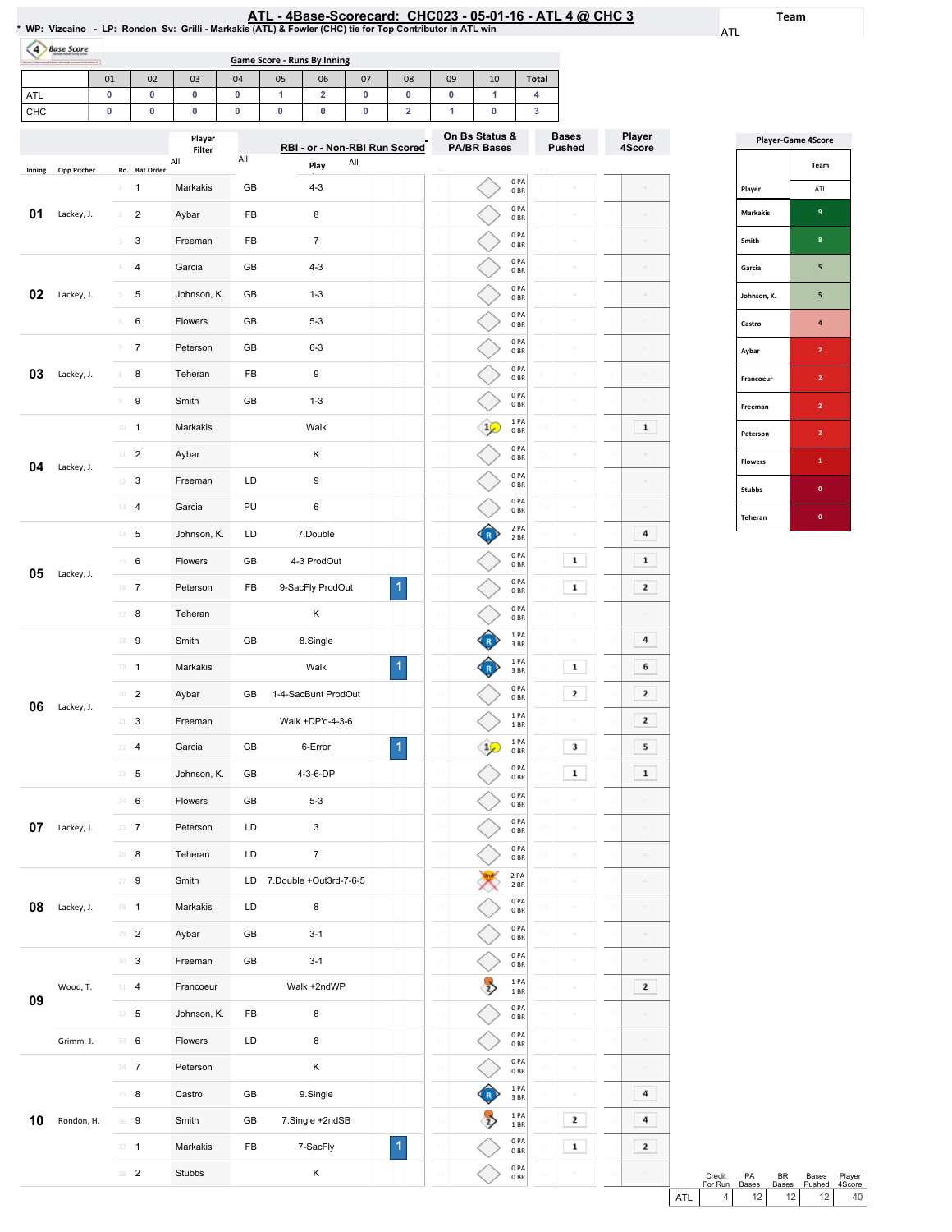# ATL-4Base-Scorecard:CHC023-05-01-16-ATL4@ CHC3 \*WP:Vizcaino -LP:RondonSv:Grilli-Markakis(ATL)&Fowler(CHC)tieforTopContributorinATLwin

ATL

Team

| <b>Base Score</b><br>Boring "Educational Eldern Startistic protects Colorisms of |    |    |    |    |    | <b>Game Score - Runs By Inning</b> |    |    |    |    |              |
|----------------------------------------------------------------------------------|----|----|----|----|----|------------------------------------|----|----|----|----|--------------|
|                                                                                  | 01 | 02 | 03 | 04 | 05 | 06                                 | 07 | 08 | 09 | 10 | <b>Total</b> |
| ATL                                                                              |    |    |    |    |    |                                    |    |    |    |    |              |
| <b>CHC</b>                                                                       |    |    |    |    |    |                                    |    |    |    |    |              |

|        |                    |                                       | Player        |     | RBI - or - Non-RBI Run Scored |   | On Bs Status &<br><b>PA/BR Bases</b> | <b>Bases</b><br><b>Pushed</b>                        | Player<br>4Score     |
|--------|--------------------|---------------------------------------|---------------|-----|-------------------------------|---|--------------------------------------|------------------------------------------------------|----------------------|
|        |                    |                                       | Filter<br>All | All | All<br>Play                   |   |                                      |                                                      |                      |
| Inning | <b>Opp Pitcher</b> | Ro Bat Order<br>1<br>$\mathbbm{1}$    | Markakis      | GB  | $4 - 3$                       |   | 0PA<br>0BR                           |                                                      |                      |
| 01     | Lackey, J.         | $\overline{\mathbf{c}}$<br>$\sqrt{2}$ | Aybar         | FB  | 8                             |   | 0PA<br>0 <sub>BR</sub>               | $\Box$                                               |                      |
|        |                    | 3<br>3                                | Freeman       | FB  | 7                             |   | 0PA<br>0 <sub>BR</sub>               | $\hfill\square$                                      | $\hskip10mm\Box$     |
|        |                    | 4<br>4                                | Garcia        | GB  | $4 - 3$                       |   | 0PA<br>0 <sub>BR</sub>               | $\hfill \square$                                     | $\Box$               |
| 02     | Lackey, J.         | 5<br>5                                | Johnson, K.   | GB  | $1 - 3$                       |   | 0PA<br>0BR                           | $\Box$                                               | $\Box$               |
|        |                    | 6<br>6                                | Flowers       | GB  | $5 - 3$                       |   | 0PA<br>0B                            | $\equiv$                                             | $\Box$               |
|        |                    | $\overline{7}$<br>7                   | Peterson      | GB  | $6 - 3$                       |   | 0PA<br>0 <sub>BR</sub>               | $\hskip10mm\Box$                                     | $\Box$               |
| 03     | Lackey, J.         | 8<br>8                                | Teheran       | FB  | 9                             |   | 0PA<br>0B                            | $\Box$                                               | $\overline{a}$       |
|        |                    | 9<br>$\mathcal G$                     | Smith         | GB  | $1 - 3$                       |   | 0PA<br>0 <sub>BR</sub>               | $\Box$                                               | $\Box$               |
|        |                    | $\mathbf{1}$<br>$10\,$                | Markakis      |     | Walk                          |   | 1PA<br>0 <sub>BR</sub>               | $\hfill\square$                                      | $\mathbf 1$          |
| 04     | Lackey, J.         | $\overline{2}$<br>11                  | Aybar         |     | κ                             |   | 0PA<br>0 <sub>BR</sub>               | $\hfill \square$                                     |                      |
|        |                    | 3<br>12                               | Freeman       | LD  | 9                             |   | 0PA<br>0BR                           | $\Box$                                               | $\alpha$             |
|        |                    | 13<br>$\overline{4}$                  | Garcia        | PU  | 6                             |   | 0PA<br>0 <sub>BR</sub>               | $\equiv$                                             | $\Box$               |
|        |                    | $14$ 5                                | Johnson, K.   | LD  | 7.Double                      |   | 2 PA<br>2 BR                         | $\hskip10mm\hskip10mm\hskip10mm\hskip10mm\hskip10mm$ | 4                    |
| 05     | Lackey, J.         | 6<br>15                               | Flowers       | GB  | 4-3 ProdOut                   |   | 0PA<br>0BR                           | 1                                                    | $\mathbf 1$          |
|        |                    | $16$ 7                                | Peterson      | FB  | 9-SacFly ProdOut              | 1 | 0PA<br>0B                            | $\mathbf 1$                                          | 2                    |
|        |                    | 8<br>17                               | Teheran       |     | κ                             |   | 0PA<br>0 <sub>BR</sub>               | $\equiv$                                             |                      |
|        |                    | 9<br>18                               | Smith         | GB  | 8.Single                      |   | 1PA<br>3BR                           | $\Box$                                               | 4                    |
|        |                    | 19<br>$\mathbf{1}$                    | Markakis      |     | Walk                          | 1 | 1PA<br>3BR                           | $\mathbf{1}$                                         | 6                    |
| 06     | Lackey, J.         | $\overline{2}$<br>20                  | Aybar         | GB  | 1-4-SacBunt ProdOut           |   | 0PA<br>0 <sub>BR</sub>               | 2                                                    | 2                    |
|        |                    | 3<br>21                               | Freeman       |     | Walk +DP'd-4-3-6              |   | 1PA<br>1 BR                          |                                                      | 2                    |
|        |                    | 4<br>22                               | Garcia        | GB  | 6-Error                       | 1 | 1 PA<br>0BR                          | 3                                                    | 5                    |
|        |                    | 23<br>5                               | Johnson, K.   | GB  | 4-3-6-DP                      |   | 0PA<br>0B                            | $\mathbf 1$                                          | $\mathbf 1$          |
|        |                    | 6<br>24                               | Flowers       | GB  | $5 - 3$                       |   | 0PA<br>0BR                           | $\hskip10mm\Box$                                     | $\hfill \square$     |
| 07     | Lackey, J.         | 7                                     | Peterson      | LD  | 3                             |   | 0PA<br>$0\;\mathrm{BR}$              |                                                      |                      |
|        |                    | $26 - 8$                              | Teheran       | LD  | 7                             |   | 0PA<br>0BR                           | $\equiv$                                             | $\overline{a}$       |
|        |                    | $27 - 9$                              | Smith         |     | LD 7.Double +Out3rd-7-6-5     |   | 2 PA<br>$-2$ BR                      | $\equiv$                                             | $\Box$               |
| 08     | Lackey, J.         | $28 - 1$                              | Markakis      | LD  | 8                             |   | 0PA<br>0B                            | $\equiv$                                             |                      |
|        |                    | $29 - 2$                              | Aybar         | GB  | $3 - 1$                       |   | 0PA<br>$0\;\mathrm{BR}$              | $\hskip10mm\Box$                                     |                      |
|        |                    | $30-3$                                | Freeman       | GB  | $3 - 1$                       |   | 0PA<br>$0\;\mathrm{BR}$              | $\Box$                                               | $\Box$               |
| 09     | Wood, T.           | 4<br>31                               | Francoeur     |     | Walk +2ndWP                   |   | 1PA<br>1BR                           | $\hfill \square$                                     | $\mathbf{z}$         |
|        |                    | 32<br>5                               | Johnson, K.   | FB  | 8                             |   | 0PA<br>0B                            | $\hfill \square$                                     |                      |
|        | Grimm, J.          | 33 6                                  | Flowers       | LD  | 8                             |   | 0PA<br>0 <sub>BR</sub>               | $\equiv$                                             | $\Box$               |
|        |                    | $34 \t7$                              | Peterson      |     | Κ                             |   | 0PA<br>0B                            | $\hfill \square$                                     | $\Box$               |
|        |                    | 35 8                                  | Castro        | GB  | 9.Single                      |   | 1 PA<br>3 BR                         | $\hfill \square$                                     | 4                    |
| 10     | Rondon, H.         | 36 9                                  | Smith         | GB  | 7.Single +2ndSB               |   | 1PA<br>$1\,\mathrm{BR}$              | 2                                                    | 4                    |
|        |                    | $\overline{1}$<br>37                  | Markakis      | FB  | 7-SacFly                      | 1 | 0PA<br>$0\;\mathrm{BR}$              | $\mathbf{1}$                                         | 2                    |
|        |                    | 38 2                                  | Stubbs        |     | Κ                             |   | 0 PA<br>$0\;\mathrm{BR}$             |                                                      | $\qquad \qquad \Box$ |

| <b>Player-Game 4Score</b> |                |  |  |  |  |  |  |
|---------------------------|----------------|--|--|--|--|--|--|
|                           | Team           |  |  |  |  |  |  |
| Player                    | ATL            |  |  |  |  |  |  |
| <b>Markakis</b>           | 9              |  |  |  |  |  |  |
| Smith                     | 8              |  |  |  |  |  |  |
| Garcia                    | 5              |  |  |  |  |  |  |
| Johnson, K.               | 5              |  |  |  |  |  |  |
| Castro                    | 4              |  |  |  |  |  |  |
| Aybar                     | $\overline{2}$ |  |  |  |  |  |  |
| Francoeur                 | $\overline{2}$ |  |  |  |  |  |  |
| Freeman                   | $\overline{2}$ |  |  |  |  |  |  |
| Peterson                  | $\overline{2}$ |  |  |  |  |  |  |
| <b>Flowers</b>            | $\mathbf{1}$   |  |  |  |  |  |  |
| <b>Stubbs</b>             | $\mathbf{0}$   |  |  |  |  |  |  |
| Teheran                   | $\mathbf{0}$   |  |  |  |  |  |  |

|     | Credit  | PA              | RR. | Bases               | Plaver |  |
|-----|---------|-----------------|-----|---------------------|--------|--|
|     | For Run | Bases           |     | Bases Pushed 4Score |        |  |
| ATL |         | 12 <sub>1</sub> | 12  | 12 <sup>1</sup>     | 40 l   |  |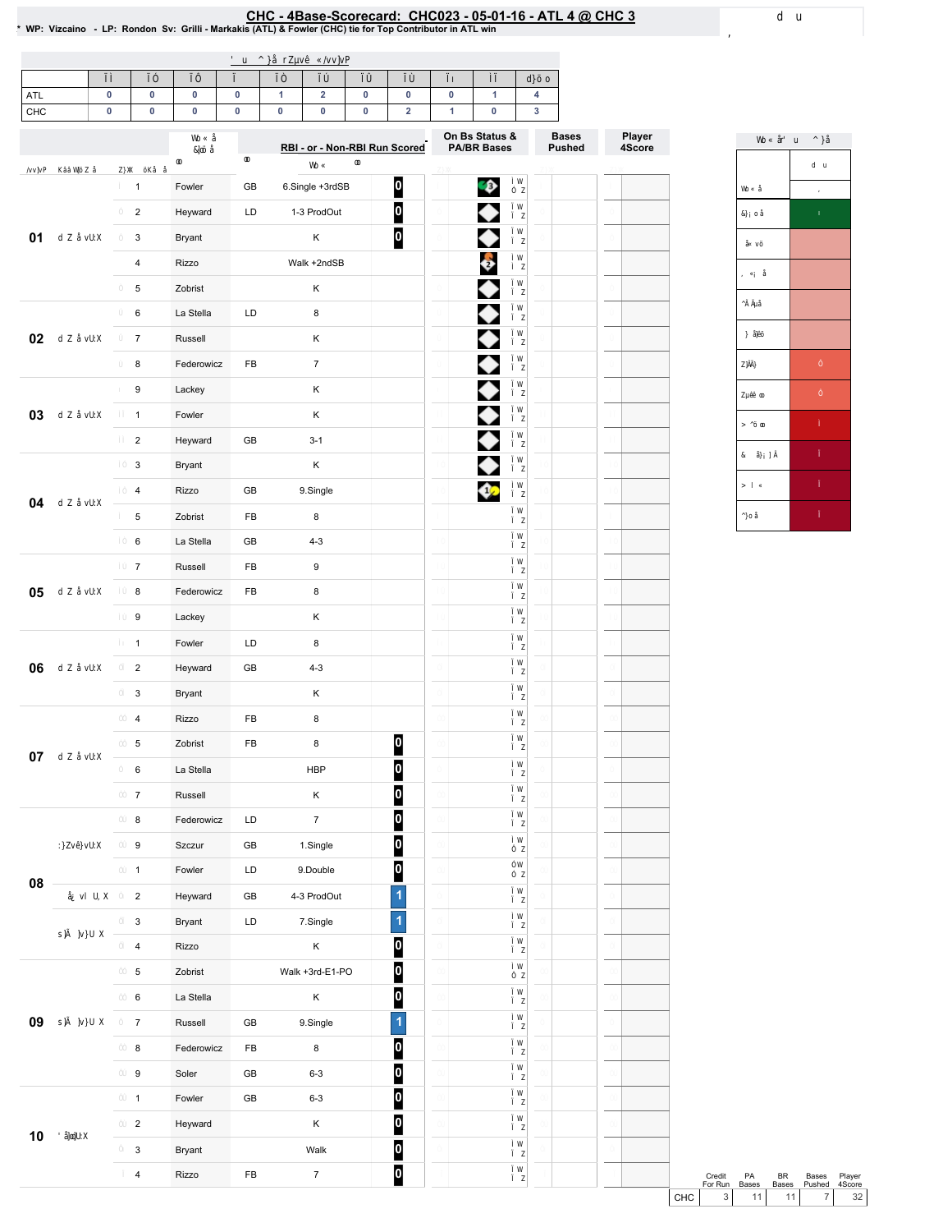# <u>CHC - 4Base-Scorecard: CHC023 - 05-01-16 - ATL 4 @ CHC 3</u><br>\* WP: Vizcaino - LP: Rondon Sv: Grilli - Markakis (ATL) & Fowler (CHC) tie for Top Contributor in ATL win \*

| $\sim$<br>AIL |  |  |  |  |  |  |
|---------------|--|--|--|--|--|--|
| CHC           |  |  |  |  |  |  |

|    |                         |               |            | RBI - or - Non-RBI Run Scored |                         | On Bs Status &<br><b>PA/BR Bases</b> | <b>Bases</b><br><b>Pushed</b> | Player<br>4Score |
|----|-------------------------|---------------|------------|-------------------------------|-------------------------|--------------------------------------|-------------------------------|------------------|
|    |                         |               |            |                               |                         |                                      |                               |                  |
|    | $\mathbf{1}$            | Fowler        | GB         | 6.Single +3rdSB               | $\overline{\mathbf{0}}$ | Ģ                                    |                               |                  |
|    | $\overline{2}$          | Heyward       | LD         | 1-3 ProdOut                   | $\overline{\mathbf{0}}$ | ◆                                    |                               |                  |
| 01 | 3                       | <b>Bryant</b> |            | Κ                             | 0                       | ♦                                    |                               |                  |
|    | $\overline{\mathbf{4}}$ | Rizzo         |            | Walk +2ndSB                   |                         | $\ddot{\bullet}$                     |                               |                  |
|    | 5                       | Zobrist       |            | Κ                             |                         | ♦                                    |                               |                  |
|    | 6                       | La Stella     | LD         | 8                             |                         | ♦                                    |                               |                  |
| 02 | $\overline{7}$          | Russell       |            | Κ                             |                         | ♦                                    |                               |                  |
|    | 8                       | Federowicz    | FB         | $\boldsymbol{7}$              |                         | ♦                                    |                               |                  |
|    | 9                       | Lackey        |            | Κ                             |                         | ♦                                    |                               |                  |
| 03 | $\mathbf{1}$            | Fowler        |            | Κ                             |                         | ♦                                    |                               |                  |
|    | $\overline{c}$          | Heyward       | GB         | $3 - 1$                       |                         | ♦                                    |                               |                  |
|    | 3                       | Bryant        |            | $\sf K$                       |                         | ◆                                    |                               |                  |
| 04 | 4                       | Rizzo         | GB         | 9.Single                      |                         | ♦                                    |                               |                  |
|    | 5                       | Zobrist       | FB         | 8                             |                         |                                      |                               |                  |
|    | 6                       | La Stella     | GB         | $4 - 3$                       |                         |                                      |                               |                  |
|    | $\overline{7}$          | Russell       | FB         | 9                             |                         |                                      |                               |                  |
| 05 | 8                       | Federowicz    | FB         | 8                             |                         |                                      |                               |                  |
|    | 9                       | Lackey        |            | Κ                             |                         |                                      |                               |                  |
|    | $\mathbf{1}$            | Fowler        | LD         | 8                             |                         |                                      |                               |                  |
| 06 | $\overline{2}$          | Heyward       | GB         | $4 - 3$                       |                         |                                      |                               |                  |
|    | 3                       | <b>Bryant</b> |            | Κ                             |                         |                                      |                               |                  |
|    | 4                       | Rizzo         | FB         | 8                             |                         |                                      |                               |                  |
| 07 | 5                       | Zobrist       | FB         | 8                             | $\bf{0}$                |                                      |                               |                  |
|    | 6                       | La Stella     |            | <b>HBP</b>                    | 0                       |                                      |                               |                  |
|    | $\boldsymbol{7}$        | Russell       |            | Κ                             | $\bf{0}$                |                                      |                               |                  |
|    | 8                       | Federowicz    | LD         | $\boldsymbol{7}$              | $\overline{0}$          |                                      |                               |                  |
|    | 9                       | Szczur        | GB         | 1.Single                      | $\boldsymbol{0}$        |                                      |                               |                  |
|    | $\mathbf{1}$            | Fowler        | LD         | 9.Double                      | $\overline{\mathbf{0}}$ |                                      |                               |                  |
| 08 | $\mathbf 2$             | Heyward       | GB         | 4-3 ProdOut                   | $\overline{\mathbf{1}}$ |                                      |                               |                  |
|    | $\mathbf{3}$            | Bryant        | LD         | 7.Single                      | 1                       |                                      |                               |                  |
|    | $\overline{4}$          | Rizzo         |            | Κ                             | 0                       |                                      |                               |                  |
|    | $\,$ 5 $\,$             | Zobrist       |            | Walk +3rd-E1-PO               | $\overline{\mathbf{0}}$ |                                      |                               |                  |
|    | $\bf 6$                 | La Stella     |            | Κ                             | $\overline{\mathbf{0}}$ |                                      |                               |                  |
| 09 | $\overline{7}$          | Russell       | GB         | 9.Single                      | $\overline{\mathbf{1}}$ |                                      |                               |                  |
|    | $\bf8$                  | Federowicz    | FB         | 8                             | $\bf{0}$                |                                      |                               |                  |
|    | $\boldsymbol{9}$        | Soler         | ${\sf GB}$ | $6 - 3$                       | $\overline{\mathbf{0}}$ |                                      |                               |                  |
|    | $\mathbf{1}$            | Fowler        | GB         | $6 - 3$                       | 0                       |                                      |                               |                  |
|    | $\overline{2}$          | Heyward       |            | Κ                             | $\boldsymbol{0}$        |                                      |                               |                  |
| 10 | $\mathbf{3}$            | Bryant        |            | Walk                          | 0                       |                                      |                               |                  |
|    | $\overline{\mathbf{4}}$ | Rizzo         | FB         | $\boldsymbol{7}$              | $\overline{\mathbf{0}}$ |                                      |                               |                  |



Credit PA BR Bases Player<br>
For Run Bases Bases Pushed 4Score<br>
CHC 3 11 11 7 32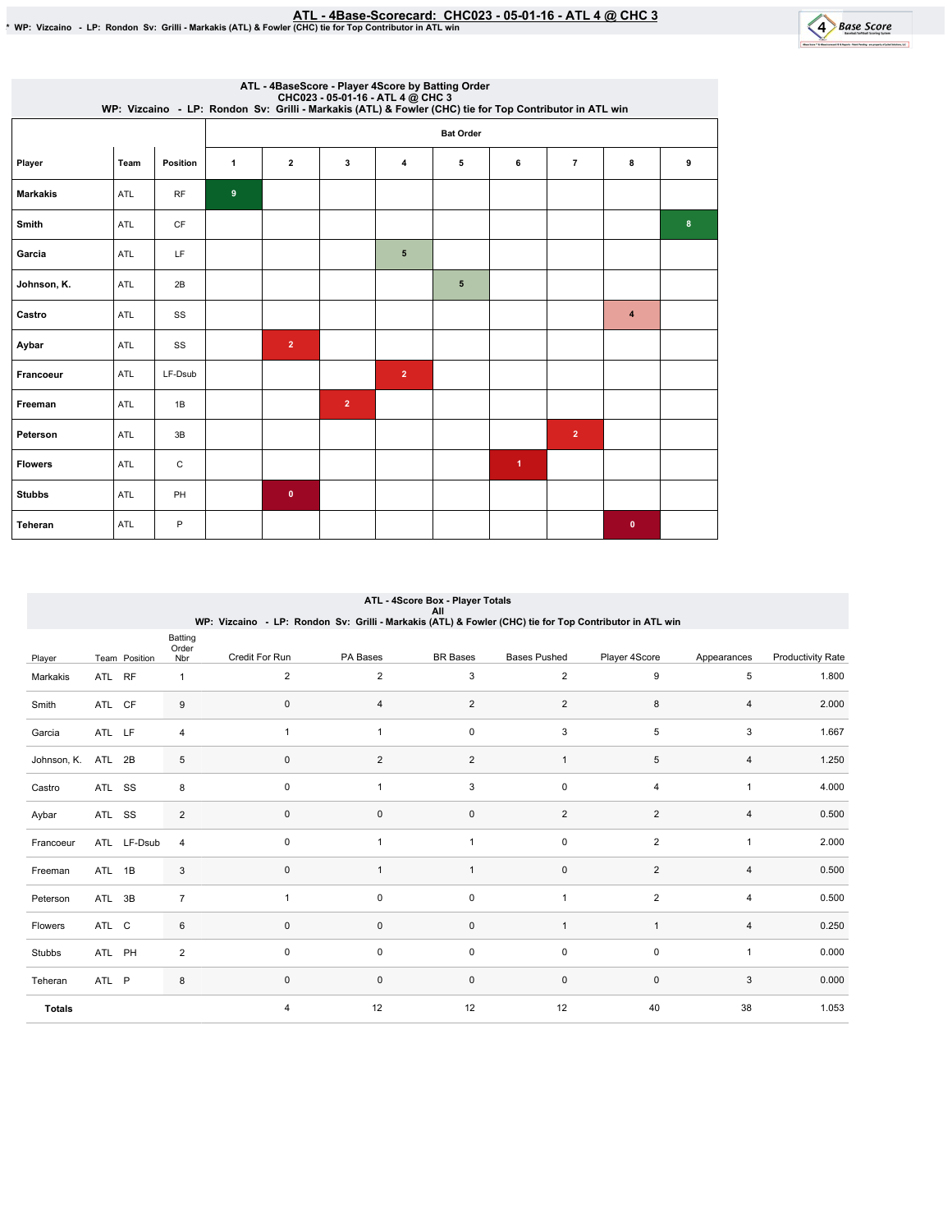<u>ATL - 4Base-Scorecard: CHC023 - 05-01-16 - ATL 4 @ CHC 3 مليحة ATL - 4Base-Scorecard: CHC023 - 05-01-16 - ATL<br>WP: Vizcaino - LP: Rondon Sv: Grilli - Markakis (ATL) & Fowler (CHC) tie for Top Contributor in ATL win </u>



|                 |            |          |                  | ATL - 4BaseScore - Player 4Score by Batting Order<br>CHC023 - 05-01-16 - ATL 4 @ CHC 3<br>WP: Vizcaino - LP: Rondon Sv: Grilli - Markakis (ATL) & Fowler (CHC) tie for Top Contributor in ATL win |                |                |                  |                      |                |                  |   |
|-----------------|------------|----------|------------------|---------------------------------------------------------------------------------------------------------------------------------------------------------------------------------------------------|----------------|----------------|------------------|----------------------|----------------|------------------|---|
|                 |            |          |                  |                                                                                                                                                                                                   |                |                | <b>Bat Order</b> |                      |                |                  |   |
| Player          | Team       | Position | $\mathbf{1}$     | $\overline{\mathbf{2}}$                                                                                                                                                                           | 3              | 4              | 5                | 6                    | $\overline{7}$ | 8                | 9 |
| <b>Markakis</b> | ATL        | RF       | $\boldsymbol{9}$ |                                                                                                                                                                                                   |                |                |                  |                      |                |                  |   |
| <b>Smith</b>    | <b>ATL</b> | CF       |                  |                                                                                                                                                                                                   |                |                |                  |                      |                |                  | 8 |
| Garcia          | ATL        | LF       |                  |                                                                                                                                                                                                   |                | $\sqrt{5}$     |                  |                      |                |                  |   |
| Johnson, K.     | ATL        | 2B       |                  |                                                                                                                                                                                                   |                |                | 5                |                      |                |                  |   |
| Castro          | ATL        | SS       |                  |                                                                                                                                                                                                   |                |                |                  |                      |                | $\boldsymbol{4}$ |   |
| Aybar           | ATL        | SS       |                  | $\overline{2}$                                                                                                                                                                                    |                |                |                  |                      |                |                  |   |
| Francoeur       | ATL        | LF-Dsub  |                  |                                                                                                                                                                                                   |                | $\overline{2}$ |                  |                      |                |                  |   |
| Freeman         | ATL        | 1B       |                  |                                                                                                                                                                                                   | $\overline{2}$ |                |                  |                      |                |                  |   |
| Peterson        | ATL        | 3B       |                  |                                                                                                                                                                                                   |                |                |                  |                      | $\overline{2}$ |                  |   |
| <b>Flowers</b>  | ATL        | C        |                  |                                                                                                                                                                                                   |                |                |                  | $\blacktriangleleft$ |                |                  |   |
| <b>Stubbs</b>   | ATL        | PH       |                  | $\mathbf 0$                                                                                                                                                                                       |                |                |                  |                      |                |                  |   |
| Teheran         | <b>ATL</b> | P        |                  |                                                                                                                                                                                                   |                |                |                  |                      |                | $\bullet$        |   |

|               |        |               |                         | WP: Vizcaino - LP: Rondon Sv: Grilli - Markakis (ATL) & Fowler (CHC) tie for Top Contributor in ATL win |                | ATL - 4Score Box - Player Totals<br>ΑIΙ |                     |                |                |                          |
|---------------|--------|---------------|-------------------------|---------------------------------------------------------------------------------------------------------|----------------|-----------------------------------------|---------------------|----------------|----------------|--------------------------|
| Player        |        | Team Position | Batting<br>Order<br>Nbr | Credit For Run                                                                                          | PA Bases       | <b>BR</b> Bases                         | <b>Bases Pushed</b> | Player 4Score  | Appearances    | <b>Productivity Rate</b> |
| Markakis      | ATL RF |               | 1                       | $\overline{2}$                                                                                          | 2              | 3                                       | 2                   | 9              | 5              | 1.800                    |
| Smith         | ATL CF |               | 9                       | 0                                                                                                       | 4              | 2                                       | 2                   | 8              | 4              | 2.000                    |
| Garcia        | ATL LF |               | $\overline{4}$          | 1                                                                                                       | $\mathbf{1}$   | $\mathbf 0$                             | 3                   | 5              | 3              | 1.667                    |
| Johnson, K.   | ATL 2B |               | 5                       | $\pmb{0}$                                                                                               | $\overline{2}$ | $\overline{c}$                          | $\mathbf{1}$        | 5              | 4              | 1.250                    |
| Castro        | ATL SS |               | 8                       | 0                                                                                                       |                | 3                                       | $\mathbf 0$         | $\overline{4}$ | $\mathbf{1}$   | 4.000                    |
| Aybar         | ATL SS |               | $\overline{2}$          | 0                                                                                                       | $\mathbf 0$    | $\mathbf 0$                             | 2                   | $\overline{2}$ | $\overline{4}$ | 0.500                    |
| Francoeur     |        | ATL LF-Dsub   | 4                       | 0                                                                                                       | $\mathbf{1}$   | $\mathbf{1}$                            | $\mathsf{O}\xspace$ | $\overline{2}$ | 1              | 2.000                    |
| Freeman       | ATL 1B |               | 3                       | 0                                                                                                       | $\mathbf{1}$   | $\mathbf{1}$                            | $\mathbf 0$         | $\overline{2}$ | $\overline{4}$ | 0.500                    |
| Peterson      | ATL 3B |               | $\overline{7}$          | 1                                                                                                       | 0              | $\mathbf 0$                             | $\mathbf{1}$        | $\overline{2}$ | 4              | 0.500                    |
| Flowers       | ATL C  |               | 6                       | $\mathbf 0$                                                                                             | $\mathbf 0$    | $\mathbf 0$                             | $\mathbf{1}$        | $\mathbf{1}$   | $\overline{4}$ | 0.250                    |
| Stubbs        | ATL PH |               | $\overline{2}$          | 0                                                                                                       | 0              | $\mathbf 0$                             | 0                   | 0              | 1              | 0.000                    |
| Teheran       | ATL P  |               | 8                       | 0                                                                                                       | $\mathbf 0$    | $\mathbf 0$                             | $\mathsf 0$         | $\mathbf 0$    | 3              | 0.000                    |
| <b>Totals</b> |        |               |                         | 4                                                                                                       | 12             | 12                                      | 12                  | 40             | 38             | 1.053                    |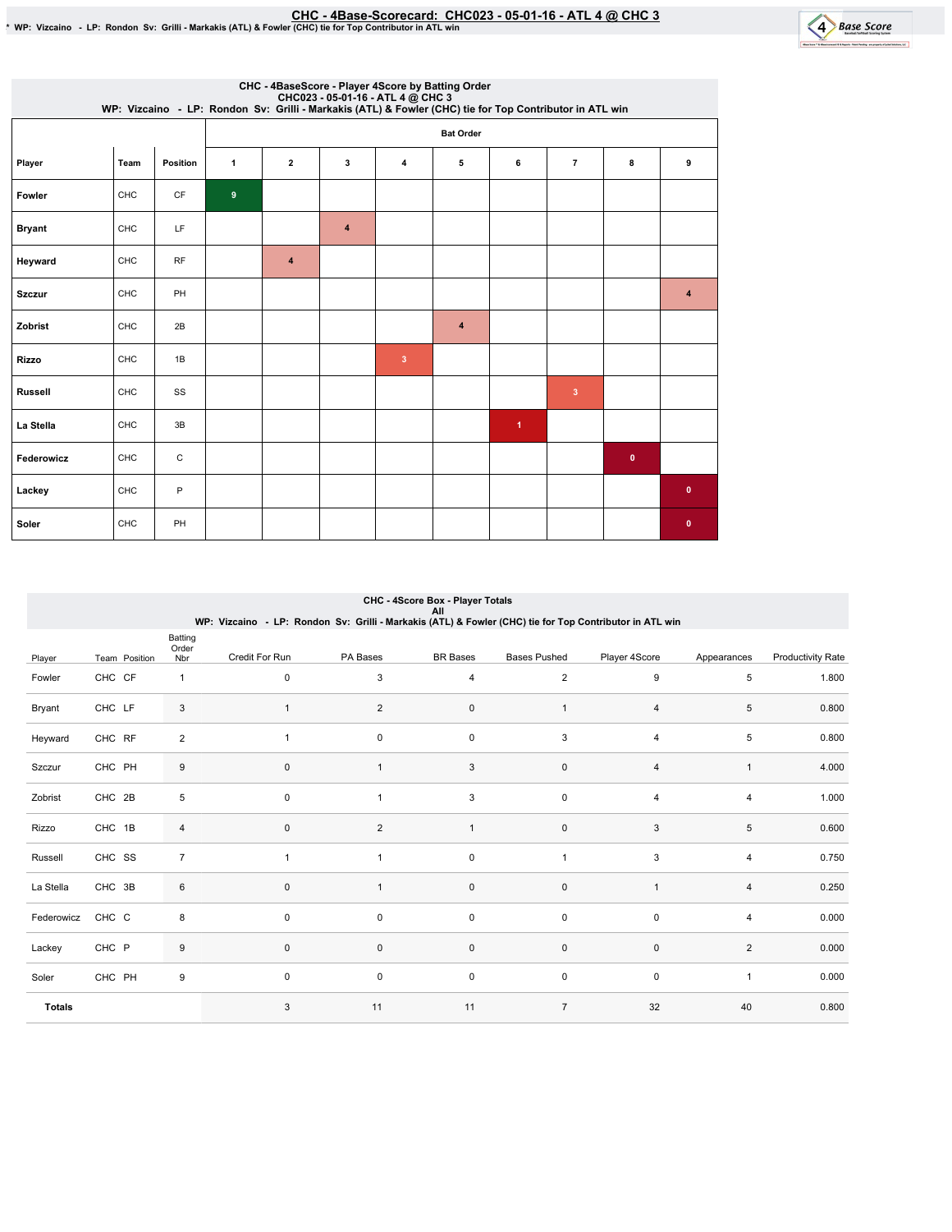EHC - 4Base-Scorecard: CHC023 - 05-01-16 - ATL 4 @ CHC 3 - 10 - \$ Fowler (CHC) tie for Top Contributor in ATL win<br>\* WP: Vizcaino - LP: Rondon Sv: Grilli - Markakis (ATL) & Fowler (CHC) tie for Top Contributor in ATL win



|                |      |             |              |                         |                |                         | CHC - 4BaseScore - Player 4Score by Batting Order<br>CHC023 - 05-01-16 - ATL 4 @ CHC 3<br>WP: Vizcaino - LP: Rondon Sv: Grilli - Markakis (ATL) & Fowler (CHC) tie for Top Contributor in ATL win |                      |                         |           |             |
|----------------|------|-------------|--------------|-------------------------|----------------|-------------------------|---------------------------------------------------------------------------------------------------------------------------------------------------------------------------------------------------|----------------------|-------------------------|-----------|-------------|
|                |      |             |              |                         |                |                         | <b>Bat Order</b>                                                                                                                                                                                  |                      |                         |           |             |
| Player         | Team | Position    | $\mathbf{1}$ | $\overline{\mathbf{2}}$ | 3              | 4                       | 5                                                                                                                                                                                                 | 6                    | $\overline{7}$          | 8         | 9           |
| Fowler         | CHC  | CF          | 9            |                         |                |                         |                                                                                                                                                                                                   |                      |                         |           |             |
| <b>Bryant</b>  | CHC  | LF          |              |                         | $\overline{4}$ |                         |                                                                                                                                                                                                   |                      |                         |           |             |
| Heyward        | CHC  | <b>RF</b>   |              | $\overline{4}$          |                |                         |                                                                                                                                                                                                   |                      |                         |           |             |
| <b>Szczur</b>  | CHC  | PH          |              |                         |                |                         |                                                                                                                                                                                                   |                      |                         |           | 4           |
| Zobrist        | CHC  | 2B          |              |                         |                |                         | 4                                                                                                                                                                                                 |                      |                         |           |             |
| Rizzo          | CHC  | 1B          |              |                         |                | $\overline{\mathbf{3}}$ |                                                                                                                                                                                                   |                      |                         |           |             |
| <b>Russell</b> | CHC  | SS          |              |                         |                |                         |                                                                                                                                                                                                   |                      | $\overline{\mathbf{3}}$ |           |             |
| La Stella      | CHC  | 3B          |              |                         |                |                         |                                                                                                                                                                                                   | $\blacktriangleleft$ |                         |           |             |
| Federowicz     | CHC  | $\mathbf C$ |              |                         |                |                         |                                                                                                                                                                                                   |                      |                         | $\bullet$ |             |
| Lackey         | CHC  | P           |              |                         |                |                         |                                                                                                                                                                                                   |                      |                         |           | $\mathbf 0$ |
| Soler          | CHC  | PH          |              |                         |                |                         |                                                                                                                                                                                                   |                      |                         |           | $\mathbf 0$ |

|               | CHC - 4Score Box - Player Totals<br>All<br>WP: Vizcaino - LP: Rondon Sv: Grilli - Markakis (ATL) & Fowler (CHC) tie for Top Contributor in ATL win |                         |                |                |                 |                     |                |                |                          |  |  |  |  |
|---------------|----------------------------------------------------------------------------------------------------------------------------------------------------|-------------------------|----------------|----------------|-----------------|---------------------|----------------|----------------|--------------------------|--|--|--|--|
| Player        | Team Position                                                                                                                                      | Batting<br>Order<br>Nbr | Credit For Run | PA Bases       | <b>BR</b> Bases | <b>Bases Pushed</b> | Player 4Score  | Appearances    | <b>Productivity Rate</b> |  |  |  |  |
| Fowler        | CHC CF                                                                                                                                             | $\mathbf{1}$            | $\mathbf 0$    | 3              | 4               | $\overline{2}$      | 9              | 5              | 1.800                    |  |  |  |  |
| Bryant        | CHC LF                                                                                                                                             | 3                       | $\overline{1}$ | $\overline{2}$ | $\pmb{0}$       | 1                   | 4              | 5              | 0.800                    |  |  |  |  |
| Heyward       | CHC RF                                                                                                                                             | $\overline{\mathbf{c}}$ | $\overline{1}$ | $\mathbf 0$    | $\mathbf 0$     | 3                   | 4              | 5              | 0.800                    |  |  |  |  |
| Szczur        | CHC PH                                                                                                                                             | 9                       | $\pmb{0}$      | $\overline{1}$ | 3               | $\pmb{0}$           | $\overline{4}$ | $\mathbf{1}$   | 4.000                    |  |  |  |  |
| Zobrist       | CHC 2B                                                                                                                                             | 5                       | $\mathbf 0$    |                | $\sqrt{3}$      | 0                   | $\overline{4}$ | 4              | 1.000                    |  |  |  |  |
| Rizzo         | CHC 1B                                                                                                                                             | 4                       | $\mathbf 0$    | $\overline{2}$ | $\mathbf{1}$    | $\pmb{0}$           | 3              | 5              | 0.600                    |  |  |  |  |
| Russell       | CHC SS                                                                                                                                             | $\overline{7}$          | 1              | 1              | $\pmb{0}$       | $\mathbf{1}$        | 3              | 4              | 0.750                    |  |  |  |  |
| La Stella     | CHC 3B                                                                                                                                             | 6                       | $\pmb{0}$      | 1              | $\pmb{0}$       | 0                   | $\overline{1}$ | 4              | 0.250                    |  |  |  |  |
| Federowicz    | CHC C                                                                                                                                              | 8                       | $\mathbf 0$    | $\mathbf 0$    | $\mathbf 0$     | $\pmb{0}$           | $\mathbf 0$    | 4              | 0.000                    |  |  |  |  |
| Lackey        | CHC P                                                                                                                                              | 9                       | $\pmb{0}$      | 0              | $\mathbf 0$     | $\pmb{0}$           | $\mathbf 0$    | $\overline{2}$ | 0.000                    |  |  |  |  |
| Soler         | CHC PH                                                                                                                                             | 9                       | $\mathbf 0$    | 0              | $\mathsf 0$     | 0                   | 0              | $\mathbf{1}$   | 0.000                    |  |  |  |  |
| <b>Totals</b> |                                                                                                                                                    |                         | 3              | 11             | 11              | $\overline{7}$      | 32             | 40             | 0.800                    |  |  |  |  |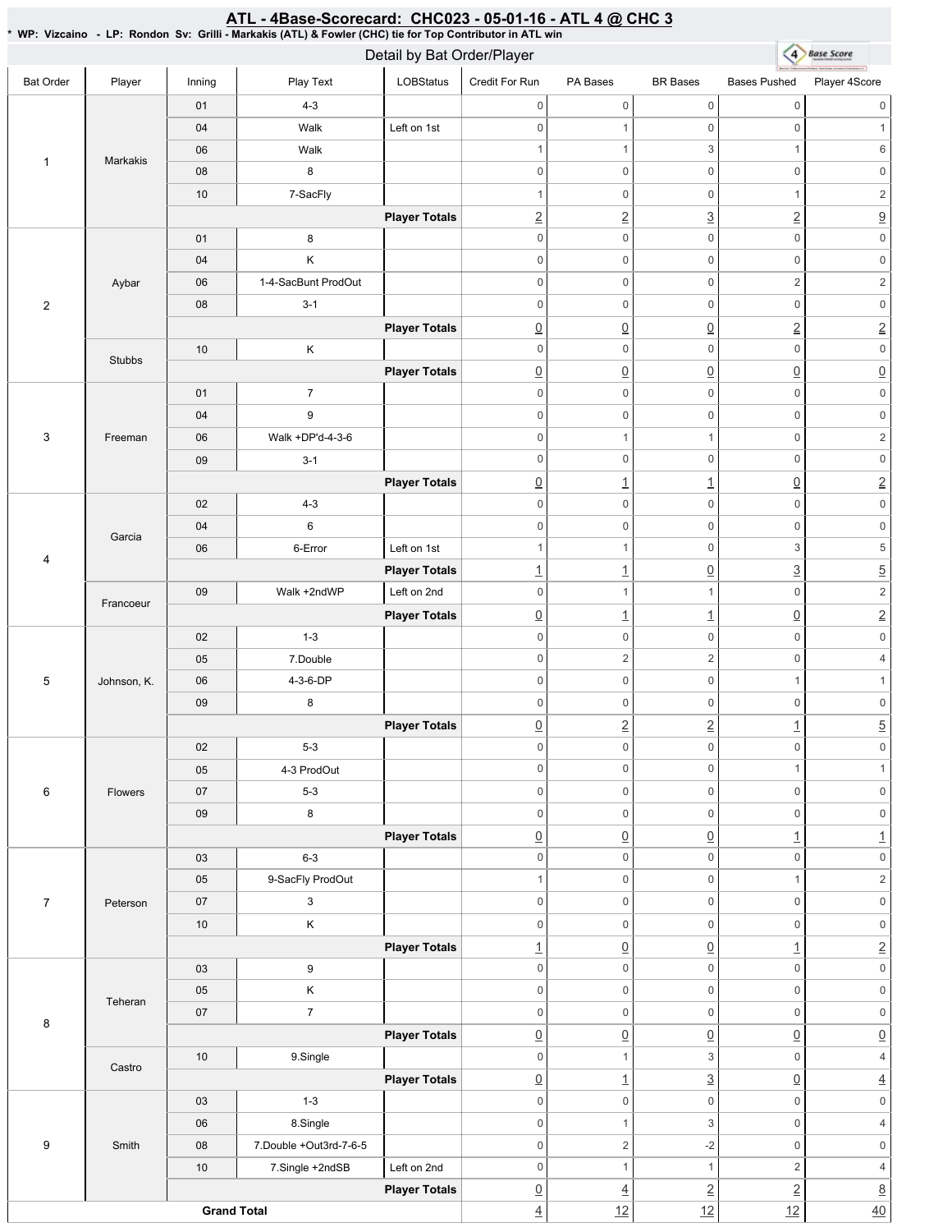|                  |                                                                                                                                                                                                                                                                                                                                                                                                                                                                                                                                                                                                                                                                                                                                                                                                                                                                                                                                                                                                                                                                                                                                                                                                                                                                                                                                                                                                                                                                                                                                                                                                                                                                                                                                                                                                                                                                                                                                                                                                                                                                                                                                                                                                                                                                                                                                                                                                                                                                                                                                                                                                                                                                                                                                                                                                                                                                                                                                                                                                                                                                                                                                                                                                                                                                                                                                                                                                                                                                                                                 |             |                        |                      |                     |                     |                 |                          | <b>Base Score</b>                                                                                                        |
|------------------|-----------------------------------------------------------------------------------------------------------------------------------------------------------------------------------------------------------------------------------------------------------------------------------------------------------------------------------------------------------------------------------------------------------------------------------------------------------------------------------------------------------------------------------------------------------------------------------------------------------------------------------------------------------------------------------------------------------------------------------------------------------------------------------------------------------------------------------------------------------------------------------------------------------------------------------------------------------------------------------------------------------------------------------------------------------------------------------------------------------------------------------------------------------------------------------------------------------------------------------------------------------------------------------------------------------------------------------------------------------------------------------------------------------------------------------------------------------------------------------------------------------------------------------------------------------------------------------------------------------------------------------------------------------------------------------------------------------------------------------------------------------------------------------------------------------------------------------------------------------------------------------------------------------------------------------------------------------------------------------------------------------------------------------------------------------------------------------------------------------------------------------------------------------------------------------------------------------------------------------------------------------------------------------------------------------------------------------------------------------------------------------------------------------------------------------------------------------------------------------------------------------------------------------------------------------------------------------------------------------------------------------------------------------------------------------------------------------------------------------------------------------------------------------------------------------------------------------------------------------------------------------------------------------------------------------------------------------------------------------------------------------------------------------------------------------------------------------------------------------------------------------------------------------------------------------------------------------------------------------------------------------------------------------------------------------------------------------------------------------------------------------------------------------------------------------------------------------------------------------------------------------------|-------------|------------------------|----------------------|---------------------|---------------------|-----------------|--------------------------|--------------------------------------------------------------------------------------------------------------------------|
| <b>Bat Order</b> |                                                                                                                                                                                                                                                                                                                                                                                                                                                                                                                                                                                                                                                                                                                                                                                                                                                                                                                                                                                                                                                                                                                                                                                                                                                                                                                                                                                                                                                                                                                                                                                                                                                                                                                                                                                                                                                                                                                                                                                                                                                                                                                                                                                                                                                                                                                                                                                                                                                                                                                                                                                                                                                                                                                                                                                                                                                                                                                                                                                                                                                                                                                                                                                                                                                                                                                                                                                                                                                                                                                 | Inning      |                        |                      |                     | PA Bases            |                 | <b>Bases Pushed</b>      | Player 4Score                                                                                                            |
|                  |                                                                                                                                                                                                                                                                                                                                                                                                                                                                                                                                                                                                                                                                                                                                                                                                                                                                                                                                                                                                                                                                                                                                                                                                                                                                                                                                                                                                                                                                                                                                                                                                                                                                                                                                                                                                                                                                                                                                                                                                                                                                                                                                                                                                                                                                                                                                                                                                                                                                                                                                                                                                                                                                                                                                                                                                                                                                                                                                                                                                                                                                                                                                                                                                                                                                                                                                                                                                                                                                                                                 | 01          | $4 - 3$                |                      | $\mathsf{O}\xspace$ | $\mathsf{O}\xspace$ | 0               | $\mathsf{O}\xspace$      | $\mathbf 0$                                                                                                              |
|                  |                                                                                                                                                                                                                                                                                                                                                                                                                                                                                                                                                                                                                                                                                                                                                                                                                                                                                                                                                                                                                                                                                                                                                                                                                                                                                                                                                                                                                                                                                                                                                                                                                                                                                                                                                                                                                                                                                                                                                                                                                                                                                                                                                                                                                                                                                                                                                                                                                                                                                                                                                                                                                                                                                                                                                                                                                                                                                                                                                                                                                                                                                                                                                                                                                                                                                                                                                                                                                                                                                                                 | 04          | Walk                   | Left on 1st          | $\mathbf 0$         | $\mathbf{1}$        | 0               | $\mathsf 0$              | 1                                                                                                                        |
| $\mathbf{1}$     |                                                                                                                                                                                                                                                                                                                                                                                                                                                                                                                                                                                                                                                                                                                                                                                                                                                                                                                                                                                                                                                                                                                                                                                                                                                                                                                                                                                                                                                                                                                                                                                                                                                                                                                                                                                                                                                                                                                                                                                                                                                                                                                                                                                                                                                                                                                                                                                                                                                                                                                                                                                                                                                                                                                                                                                                                                                                                                                                                                                                                                                                                                                                                                                                                                                                                                                                                                                                                                                                                                                 | 06          | Walk                   |                      | $\mathbf{1}$        | $\mathbf{1}$        | 3               | $\mathbf{1}$             | $\,6\,$                                                                                                                  |
|                  | WP: Vizcaino - LP: Rondon Sv: Grilli - Markakis (ATL) & Fowler (CHC) tie for Top Contributor in ATL win<br>Detail by Bat Order/Player<br>(4)<br>Player<br>Play Text<br><b>LOBStatus</b><br>Credit For Run<br><b>BR</b> Bases<br><b>Markakis</b><br>8<br>$\,0\,$<br>$\mathsf{O}\xspace$<br>0<br>${\bf 08}$<br>7-SacFly<br>$\mathbf 0$<br>$\mathsf{O}\xspace$<br>10<br>$\overline{1}$<br>$\overline{2}$<br>$\overline{2}$<br>$\overline{3}$<br><b>Player Totals</b><br>$\mathbf 0$<br>$\mathsf{O}\xspace$<br>0<br>8<br>01<br>Κ<br>$\mathsf{O}\xspace$<br>$\mathsf{O}\xspace$<br>$\,0\,$<br>04<br>1-4-SacBunt ProdOut<br>$\mathbf 0$<br>$\mathsf{O}\xspace$<br>0<br>06<br>Aybar<br>$3 - 1$<br>$\mathbf 0$<br>0<br>$\mathsf{O}\xspace$<br>08<br>$\underline{0}$<br><b>Player Totals</b><br>$\underline{0}$<br>$\underline{0}$<br>$\mathbb O$<br>$\mathsf{O}\xspace$<br>0<br>Κ<br>$10$<br><b>Stubbs</b><br>$\underline{0}$<br>$\underline{0}$<br>$\underline{0}$<br><b>Player Totals</b><br>$\overline{7}$<br>$\mathbf 0$<br>0<br>01<br>$\mathsf{O}\xspace$<br>9<br>$\mathbf 0$<br>$\mathbf 0$<br>0<br>04<br>Walk +DP'd-4-3-6<br>$\mathsf 0$<br>$\mathbf{1}$<br>Freeman<br>06<br>$\mathbf{1}$<br>$\mathbf 0$<br>$\mathsf{O}\xspace$<br>0<br>09<br>$3 - 1$<br>$\overline{0}$<br>$\overline{1}$<br><b>Player Totals</b><br>$\overline{1}$<br>0<br>$4 - 3$<br>$\boldsymbol{0}$<br>$\mathsf{O}\xspace$<br>02<br>6<br>$\,0\,$<br>$\mathsf{O}\xspace$<br>0<br>04<br>Garcia<br>$\mathbf{1}$<br>0<br>Left on 1st<br>$\overline{1}$<br>6-Error<br>06<br>$\underline{0}$<br><b>Player Totals</b><br>$\overline{1}$<br>$\overline{1}$<br>$\mathbf 0$<br>Left on 2nd<br>$09\,$<br>Walk +2ndWP<br>$\mathbf{1}$<br>1<br>Francoeur<br>$\underline{0}$<br>$\overline{1}$<br><b>Player Totals</b><br>$\overline{1}$<br>$1 - 3$<br>$\mathbf 0$<br>$\mathsf{O}\xspace$<br>0<br>02<br>$\sqrt{2}$<br>$\mathbf 0$<br>2<br>05<br>7.Double<br>$\mathsf{O}\xspace$<br>4-3-6-DP<br>$\mathsf 0$<br>$\mathsf{O}\xspace$<br>06<br>Johnson, K.<br>$09\,$<br>8<br>$\mathbf 0$<br>$\mathsf{O}\xspace$<br>0<br>$\overline{2}$<br>$\overline{2}$<br>$\underline{0}$<br><b>Player Totals</b><br>02<br>$5-3$<br>$\mathsf 0$<br>$\mathsf{O}\xspace$<br>$\mathsf{O}\xspace$<br>$\mathbb O$<br>$\mathsf{O}\xspace$<br>$\mathsf{O}\xspace$<br>4-3 ProdOut<br>05<br>$\mathsf 0$<br>$5 - 3$<br>$\,0\,$<br>$\mathsf{O}\xspace$<br>$07\,$<br>Flowers<br>8<br>$\mathsf{O}\xspace$<br>$\mathsf{O}\xspace$<br>$09\,$<br>$\mathsf{O}$<br><b>Player Totals</b><br>$\underline{0}$<br>$\underline{0}$<br>$\underline{0}$<br>$\mathsf 0$<br>$\mathsf{O}$<br>$\mathsf{O}\xspace$<br>$6 - 3$<br>03<br>9-SacFly ProdOut<br>0<br>$\mathbf{1}$<br>$\mathsf{O}\xspace$<br>05<br>$\mathbb O$<br>$\mathsf 0$<br>$07\,$<br>3<br>$\mathbf 0$<br>Peterson<br>Κ<br>$\mathsf 0$<br>$\mathsf 0$<br>$\mathsf{O}$<br>10<br>$\underline{0}$<br><b>Player Totals</b><br>$\overline{1}$<br>$\underline{0}$<br>$\mathbb O$<br>$\mathsf{O}$<br>0<br>03<br>9<br>Κ<br>05<br>$\mathsf 0$<br>$\mathsf{O}$<br>$\mathsf{O}\xspace$<br>Teheran<br>$\overline{7}$<br>$\mathbf 0$<br>$\mathsf{O}\xspace$<br>$07\,$<br>0<br>$\underline{0}$<br>$\underline{0}$<br>$\underline{0}$<br><b>Player Totals</b><br>$\ensuremath{\mathsf{3}}$<br>9.Single<br>$\mathsf 0$<br>10<br>$\mathbf{1}$<br>Castro<br>$\underline{3}$<br><b>Player Totals</b><br>$\underline{0}$<br>$\perp$<br>$\mathsf{O}\xspace$<br>$\mathsf 0$<br>$1 - 3$<br>$\mathsf 0$<br>03<br>8.Single<br>$\mathsf 0$<br>3<br>06<br>$\mathbf{1}$ | $\mathsf 0$ | $\mathbf 0$            |                      |                     |                     |                 |                          |                                                                                                                          |
|                  |                                                                                                                                                                                                                                                                                                                                                                                                                                                                                                                                                                                                                                                                                                                                                                                                                                                                                                                                                                                                                                                                                                                                                                                                                                                                                                                                                                                                                                                                                                                                                                                                                                                                                                                                                                                                                                                                                                                                                                                                                                                                                                                                                                                                                                                                                                                                                                                                                                                                                                                                                                                                                                                                                                                                                                                                                                                                                                                                                                                                                                                                                                                                                                                                                                                                                                                                                                                                                                                                                                                 |             |                        |                      |                     |                     |                 | $\mathbf{1}$             | $\sqrt{2}$                                                                                                               |
|                  |                                                                                                                                                                                                                                                                                                                                                                                                                                                                                                                                                                                                                                                                                                                                                                                                                                                                                                                                                                                                                                                                                                                                                                                                                                                                                                                                                                                                                                                                                                                                                                                                                                                                                                                                                                                                                                                                                                                                                                                                                                                                                                                                                                                                                                                                                                                                                                                                                                                                                                                                                                                                                                                                                                                                                                                                                                                                                                                                                                                                                                                                                                                                                                                                                                                                                                                                                                                                                                                                                                                 |             |                        |                      |                     |                     |                 | $\overline{2}$           | $\overline{\partial}$                                                                                                    |
|                  |                                                                                                                                                                                                                                                                                                                                                                                                                                                                                                                                                                                                                                                                                                                                                                                                                                                                                                                                                                                                                                                                                                                                                                                                                                                                                                                                                                                                                                                                                                                                                                                                                                                                                                                                                                                                                                                                                                                                                                                                                                                                                                                                                                                                                                                                                                                                                                                                                                                                                                                                                                                                                                                                                                                                                                                                                                                                                                                                                                                                                                                                                                                                                                                                                                                                                                                                                                                                                                                                                                                 |             |                        |                      |                     |                     |                 | $\mathbf 0$              |                                                                                                                          |
|                  |                                                                                                                                                                                                                                                                                                                                                                                                                                                                                                                                                                                                                                                                                                                                                                                                                                                                                                                                                                                                                                                                                                                                                                                                                                                                                                                                                                                                                                                                                                                                                                                                                                                                                                                                                                                                                                                                                                                                                                                                                                                                                                                                                                                                                                                                                                                                                                                                                                                                                                                                                                                                                                                                                                                                                                                                                                                                                                                                                                                                                                                                                                                                                                                                                                                                                                                                                                                                                                                                                                                 |             |                        |                      |                     |                     |                 | $\mathsf{O}\xspace$      |                                                                                                                          |
|                  |                                                                                                                                                                                                                                                                                                                                                                                                                                                                                                                                                                                                                                                                                                                                                                                                                                                                                                                                                                                                                                                                                                                                                                                                                                                                                                                                                                                                                                                                                                                                                                                                                                                                                                                                                                                                                                                                                                                                                                                                                                                                                                                                                                                                                                                                                                                                                                                                                                                                                                                                                                                                                                                                                                                                                                                                                                                                                                                                                                                                                                                                                                                                                                                                                                                                                                                                                                                                                                                                                                                 |             |                        |                      |                     |                     |                 | $\overline{c}$           |                                                                                                                          |
| $\sqrt{2}$       |                                                                                                                                                                                                                                                                                                                                                                                                                                                                                                                                                                                                                                                                                                                                                                                                                                                                                                                                                                                                                                                                                                                                                                                                                                                                                                                                                                                                                                                                                                                                                                                                                                                                                                                                                                                                                                                                                                                                                                                                                                                                                                                                                                                                                                                                                                                                                                                                                                                                                                                                                                                                                                                                                                                                                                                                                                                                                                                                                                                                                                                                                                                                                                                                                                                                                                                                                                                                                                                                                                                 |             |                        |                      |                     |                     |                 | $\mathbf 0$              |                                                                                                                          |
|                  |                                                                                                                                                                                                                                                                                                                                                                                                                                                                                                                                                                                                                                                                                                                                                                                                                                                                                                                                                                                                                                                                                                                                                                                                                                                                                                                                                                                                                                                                                                                                                                                                                                                                                                                                                                                                                                                                                                                                                                                                                                                                                                                                                                                                                                                                                                                                                                                                                                                                                                                                                                                                                                                                                                                                                                                                                                                                                                                                                                                                                                                                                                                                                                                                                                                                                                                                                                                                                                                                                                                 |             |                        |                      |                     |                     |                 | $\underline{2}$          |                                                                                                                          |
|                  |                                                                                                                                                                                                                                                                                                                                                                                                                                                                                                                                                                                                                                                                                                                                                                                                                                                                                                                                                                                                                                                                                                                                                                                                                                                                                                                                                                                                                                                                                                                                                                                                                                                                                                                                                                                                                                                                                                                                                                                                                                                                                                                                                                                                                                                                                                                                                                                                                                                                                                                                                                                                                                                                                                                                                                                                                                                                                                                                                                                                                                                                                                                                                                                                                                                                                                                                                                                                                                                                                                                 |             |                        |                      |                     |                     |                 | $\mathsf{O}\xspace$      |                                                                                                                          |
|                  |                                                                                                                                                                                                                                                                                                                                                                                                                                                                                                                                                                                                                                                                                                                                                                                                                                                                                                                                                                                                                                                                                                                                                                                                                                                                                                                                                                                                                                                                                                                                                                                                                                                                                                                                                                                                                                                                                                                                                                                                                                                                                                                                                                                                                                                                                                                                                                                                                                                                                                                                                                                                                                                                                                                                                                                                                                                                                                                                                                                                                                                                                                                                                                                                                                                                                                                                                                                                                                                                                                                 |             |                        |                      |                     |                     |                 | $\underline{0}$          |                                                                                                                          |
|                  |                                                                                                                                                                                                                                                                                                                                                                                                                                                                                                                                                                                                                                                                                                                                                                                                                                                                                                                                                                                                                                                                                                                                                                                                                                                                                                                                                                                                                                                                                                                                                                                                                                                                                                                                                                                                                                                                                                                                                                                                                                                                                                                                                                                                                                                                                                                                                                                                                                                                                                                                                                                                                                                                                                                                                                                                                                                                                                                                                                                                                                                                                                                                                                                                                                                                                                                                                                                                                                                                                                                 |             |                        |                      |                     |                     |                 | $\mathsf 0$              |                                                                                                                          |
|                  |                                                                                                                                                                                                                                                                                                                                                                                                                                                                                                                                                                                                                                                                                                                                                                                                                                                                                                                                                                                                                                                                                                                                                                                                                                                                                                                                                                                                                                                                                                                                                                                                                                                                                                                                                                                                                                                                                                                                                                                                                                                                                                                                                                                                                                                                                                                                                                                                                                                                                                                                                                                                                                                                                                                                                                                                                                                                                                                                                                                                                                                                                                                                                                                                                                                                                                                                                                                                                                                                                                                 |             |                        |                      |                     |                     |                 | $\mathsf 0$              |                                                                                                                          |
| 3                |                                                                                                                                                                                                                                                                                                                                                                                                                                                                                                                                                                                                                                                                                                                                                                                                                                                                                                                                                                                                                                                                                                                                                                                                                                                                                                                                                                                                                                                                                                                                                                                                                                                                                                                                                                                                                                                                                                                                                                                                                                                                                                                                                                                                                                                                                                                                                                                                                                                                                                                                                                                                                                                                                                                                                                                                                                                                                                                                                                                                                                                                                                                                                                                                                                                                                                                                                                                                                                                                                                                 |             |                        |                      |                     |                     |                 | $\mathbf 0$              |                                                                                                                          |
|                  |                                                                                                                                                                                                                                                                                                                                                                                                                                                                                                                                                                                                                                                                                                                                                                                                                                                                                                                                                                                                                                                                                                                                                                                                                                                                                                                                                                                                                                                                                                                                                                                                                                                                                                                                                                                                                                                                                                                                                                                                                                                                                                                                                                                                                                                                                                                                                                                                                                                                                                                                                                                                                                                                                                                                                                                                                                                                                                                                                                                                                                                                                                                                                                                                                                                                                                                                                                                                                                                                                                                 |             |                        |                      |                     |                     |                 | $\mathsf 0$              |                                                                                                                          |
|                  |                                                                                                                                                                                                                                                                                                                                                                                                                                                                                                                                                                                                                                                                                                                                                                                                                                                                                                                                                                                                                                                                                                                                                                                                                                                                                                                                                                                                                                                                                                                                                                                                                                                                                                                                                                                                                                                                                                                                                                                                                                                                                                                                                                                                                                                                                                                                                                                                                                                                                                                                                                                                                                                                                                                                                                                                                                                                                                                                                                                                                                                                                                                                                                                                                                                                                                                                                                                                                                                                                                                 |             |                        |                      |                     |                     |                 | $\underline{0}$          |                                                                                                                          |
|                  |                                                                                                                                                                                                                                                                                                                                                                                                                                                                                                                                                                                                                                                                                                                                                                                                                                                                                                                                                                                                                                                                                                                                                                                                                                                                                                                                                                                                                                                                                                                                                                                                                                                                                                                                                                                                                                                                                                                                                                                                                                                                                                                                                                                                                                                                                                                                                                                                                                                                                                                                                                                                                                                                                                                                                                                                                                                                                                                                                                                                                                                                                                                                                                                                                                                                                                                                                                                                                                                                                                                 |             |                        |                      |                     |                     |                 | $\mathsf 0$              |                                                                                                                          |
|                  |                                                                                                                                                                                                                                                                                                                                                                                                                                                                                                                                                                                                                                                                                                                                                                                                                                                                                                                                                                                                                                                                                                                                                                                                                                                                                                                                                                                                                                                                                                                                                                                                                                                                                                                                                                                                                                                                                                                                                                                                                                                                                                                                                                                                                                                                                                                                                                                                                                                                                                                                                                                                                                                                                                                                                                                                                                                                                                                                                                                                                                                                                                                                                                                                                                                                                                                                                                                                                                                                                                                 |             |                        |                      |                     |                     |                 | $\mathsf 0$              |                                                                                                                          |
| $\overline{4}$   |                                                                                                                                                                                                                                                                                                                                                                                                                                                                                                                                                                                                                                                                                                                                                                                                                                                                                                                                                                                                                                                                                                                                                                                                                                                                                                                                                                                                                                                                                                                                                                                                                                                                                                                                                                                                                                                                                                                                                                                                                                                                                                                                                                                                                                                                                                                                                                                                                                                                                                                                                                                                                                                                                                                                                                                                                                                                                                                                                                                                                                                                                                                                                                                                                                                                                                                                                                                                                                                                                                                 |             |                        |                      |                     |                     |                 | 3                        |                                                                                                                          |
|                  |                                                                                                                                                                                                                                                                                                                                                                                                                                                                                                                                                                                                                                                                                                                                                                                                                                                                                                                                                                                                                                                                                                                                                                                                                                                                                                                                                                                                                                                                                                                                                                                                                                                                                                                                                                                                                                                                                                                                                                                                                                                                                                                                                                                                                                                                                                                                                                                                                                                                                                                                                                                                                                                                                                                                                                                                                                                                                                                                                                                                                                                                                                                                                                                                                                                                                                                                                                                                                                                                                                                 |             |                        |                      |                     |                     |                 | $\underline{3}$          |                                                                                                                          |
|                  |                                                                                                                                                                                                                                                                                                                                                                                                                                                                                                                                                                                                                                                                                                                                                                                                                                                                                                                                                                                                                                                                                                                                                                                                                                                                                                                                                                                                                                                                                                                                                                                                                                                                                                                                                                                                                                                                                                                                                                                                                                                                                                                                                                                                                                                                                                                                                                                                                                                                                                                                                                                                                                                                                                                                                                                                                                                                                                                                                                                                                                                                                                                                                                                                                                                                                                                                                                                                                                                                                                                 |             |                        |                      |                     |                     |                 | $\mathsf 0$              |                                                                                                                          |
|                  |                                                                                                                                                                                                                                                                                                                                                                                                                                                                                                                                                                                                                                                                                                                                                                                                                                                                                                                                                                                                                                                                                                                                                                                                                                                                                                                                                                                                                                                                                                                                                                                                                                                                                                                                                                                                                                                                                                                                                                                                                                                                                                                                                                                                                                                                                                                                                                                                                                                                                                                                                                                                                                                                                                                                                                                                                                                                                                                                                                                                                                                                                                                                                                                                                                                                                                                                                                                                                                                                                                                 |             |                        |                      |                     |                     |                 | $\underline{0}$          |                                                                                                                          |
|                  |                                                                                                                                                                                                                                                                                                                                                                                                                                                                                                                                                                                                                                                                                                                                                                                                                                                                                                                                                                                                                                                                                                                                                                                                                                                                                                                                                                                                                                                                                                                                                                                                                                                                                                                                                                                                                                                                                                                                                                                                                                                                                                                                                                                                                                                                                                                                                                                                                                                                                                                                                                                                                                                                                                                                                                                                                                                                                                                                                                                                                                                                                                                                                                                                                                                                                                                                                                                                                                                                                                                 |             |                        |                      |                     |                     |                 | $\mathsf 0$              |                                                                                                                          |
|                  |                                                                                                                                                                                                                                                                                                                                                                                                                                                                                                                                                                                                                                                                                                                                                                                                                                                                                                                                                                                                                                                                                                                                                                                                                                                                                                                                                                                                                                                                                                                                                                                                                                                                                                                                                                                                                                                                                                                                                                                                                                                                                                                                                                                                                                                                                                                                                                                                                                                                                                                                                                                                                                                                                                                                                                                                                                                                                                                                                                                                                                                                                                                                                                                                                                                                                                                                                                                                                                                                                                                 |             |                        |                      |                     |                     |                 | $\mathsf 0$              |                                                                                                                          |
| $\mathbf 5$      |                                                                                                                                                                                                                                                                                                                                                                                                                                                                                                                                                                                                                                                                                                                                                                                                                                                                                                                                                                                                                                                                                                                                                                                                                                                                                                                                                                                                                                                                                                                                                                                                                                                                                                                                                                                                                                                                                                                                                                                                                                                                                                                                                                                                                                                                                                                                                                                                                                                                                                                                                                                                                                                                                                                                                                                                                                                                                                                                                                                                                                                                                                                                                                                                                                                                                                                                                                                                                                                                                                                 |             |                        |                      |                     |                     |                 | $\mathbf{1}$             |                                                                                                                          |
|                  |                                                                                                                                                                                                                                                                                                                                                                                                                                                                                                                                                                                                                                                                                                                                                                                                                                                                                                                                                                                                                                                                                                                                                                                                                                                                                                                                                                                                                                                                                                                                                                                                                                                                                                                                                                                                                                                                                                                                                                                                                                                                                                                                                                                                                                                                                                                                                                                                                                                                                                                                                                                                                                                                                                                                                                                                                                                                                                                                                                                                                                                                                                                                                                                                                                                                                                                                                                                                                                                                                                                 |             |                        |                      |                     |                     |                 | $\mathsf 0$              |                                                                                                                          |
|                  |                                                                                                                                                                                                                                                                                                                                                                                                                                                                                                                                                                                                                                                                                                                                                                                                                                                                                                                                                                                                                                                                                                                                                                                                                                                                                                                                                                                                                                                                                                                                                                                                                                                                                                                                                                                                                                                                                                                                                                                                                                                                                                                                                                                                                                                                                                                                                                                                                                                                                                                                                                                                                                                                                                                                                                                                                                                                                                                                                                                                                                                                                                                                                                                                                                                                                                                                                                                                                                                                                                                 |             |                        |                      |                     |                     |                 | $\underline{\mathbf{1}}$ |                                                                                                                          |
|                  |                                                                                                                                                                                                                                                                                                                                                                                                                                                                                                                                                                                                                                                                                                                                                                                                                                                                                                                                                                                                                                                                                                                                                                                                                                                                                                                                                                                                                                                                                                                                                                                                                                                                                                                                                                                                                                                                                                                                                                                                                                                                                                                                                                                                                                                                                                                                                                                                                                                                                                                                                                                                                                                                                                                                                                                                                                                                                                                                                                                                                                                                                                                                                                                                                                                                                                                                                                                                                                                                                                                 |             |                        |                      |                     |                     |                 | $\mathsf 0$              |                                                                                                                          |
|                  |                                                                                                                                                                                                                                                                                                                                                                                                                                                                                                                                                                                                                                                                                                                                                                                                                                                                                                                                                                                                                                                                                                                                                                                                                                                                                                                                                                                                                                                                                                                                                                                                                                                                                                                                                                                                                                                                                                                                                                                                                                                                                                                                                                                                                                                                                                                                                                                                                                                                                                                                                                                                                                                                                                                                                                                                                                                                                                                                                                                                                                                                                                                                                                                                                                                                                                                                                                                                                                                                                                                 |             |                        |                      |                     |                     |                 | $\mathbf{1}$             |                                                                                                                          |
| $\,6\,$          |                                                                                                                                                                                                                                                                                                                                                                                                                                                                                                                                                                                                                                                                                                                                                                                                                                                                                                                                                                                                                                                                                                                                                                                                                                                                                                                                                                                                                                                                                                                                                                                                                                                                                                                                                                                                                                                                                                                                                                                                                                                                                                                                                                                                                                                                                                                                                                                                                                                                                                                                                                                                                                                                                                                                                                                                                                                                                                                                                                                                                                                                                                                                                                                                                                                                                                                                                                                                                                                                                                                 |             |                        |                      |                     |                     |                 | $\mathsf 0$              |                                                                                                                          |
|                  |                                                                                                                                                                                                                                                                                                                                                                                                                                                                                                                                                                                                                                                                                                                                                                                                                                                                                                                                                                                                                                                                                                                                                                                                                                                                                                                                                                                                                                                                                                                                                                                                                                                                                                                                                                                                                                                                                                                                                                                                                                                                                                                                                                                                                                                                                                                                                                                                                                                                                                                                                                                                                                                                                                                                                                                                                                                                                                                                                                                                                                                                                                                                                                                                                                                                                                                                                                                                                                                                                                                 |             |                        |                      |                     |                     |                 | $\mathsf{O}\xspace$      |                                                                                                                          |
|                  |                                                                                                                                                                                                                                                                                                                                                                                                                                                                                                                                                                                                                                                                                                                                                                                                                                                                                                                                                                                                                                                                                                                                                                                                                                                                                                                                                                                                                                                                                                                                                                                                                                                                                                                                                                                                                                                                                                                                                                                                                                                                                                                                                                                                                                                                                                                                                                                                                                                                                                                                                                                                                                                                                                                                                                                                                                                                                                                                                                                                                                                                                                                                                                                                                                                                                                                                                                                                                                                                                                                 |             |                        |                      |                     |                     |                 | $\overline{1}$           |                                                                                                                          |
|                  |                                                                                                                                                                                                                                                                                                                                                                                                                                                                                                                                                                                                                                                                                                                                                                                                                                                                                                                                                                                                                                                                                                                                                                                                                                                                                                                                                                                                                                                                                                                                                                                                                                                                                                                                                                                                                                                                                                                                                                                                                                                                                                                                                                                                                                                                                                                                                                                                                                                                                                                                                                                                                                                                                                                                                                                                                                                                                                                                                                                                                                                                                                                                                                                                                                                                                                                                                                                                                                                                                                                 |             |                        |                      |                     |                     |                 | $\mathsf 0$              |                                                                                                                          |
|                  |                                                                                                                                                                                                                                                                                                                                                                                                                                                                                                                                                                                                                                                                                                                                                                                                                                                                                                                                                                                                                                                                                                                                                                                                                                                                                                                                                                                                                                                                                                                                                                                                                                                                                                                                                                                                                                                                                                                                                                                                                                                                                                                                                                                                                                                                                                                                                                                                                                                                                                                                                                                                                                                                                                                                                                                                                                                                                                                                                                                                                                                                                                                                                                                                                                                                                                                                                                                                                                                                                                                 |             |                        |                      |                     |                     |                 | $\mathbf{1}$             |                                                                                                                          |
| $\overline{7}$   |                                                                                                                                                                                                                                                                                                                                                                                                                                                                                                                                                                                                                                                                                                                                                                                                                                                                                                                                                                                                                                                                                                                                                                                                                                                                                                                                                                                                                                                                                                                                                                                                                                                                                                                                                                                                                                                                                                                                                                                                                                                                                                                                                                                                                                                                                                                                                                                                                                                                                                                                                                                                                                                                                                                                                                                                                                                                                                                                                                                                                                                                                                                                                                                                                                                                                                                                                                                                                                                                                                                 |             |                        |                      |                     |                     |                 | $\mathsf{O}\xspace$      |                                                                                                                          |
|                  |                                                                                                                                                                                                                                                                                                                                                                                                                                                                                                                                                                                                                                                                                                                                                                                                                                                                                                                                                                                                                                                                                                                                                                                                                                                                                                                                                                                                                                                                                                                                                                                                                                                                                                                                                                                                                                                                                                                                                                                                                                                                                                                                                                                                                                                                                                                                                                                                                                                                                                                                                                                                                                                                                                                                                                                                                                                                                                                                                                                                                                                                                                                                                                                                                                                                                                                                                                                                                                                                                                                 |             |                        |                      |                     |                     |                 | $\mathsf 0$              |                                                                                                                          |
|                  |                                                                                                                                                                                                                                                                                                                                                                                                                                                                                                                                                                                                                                                                                                                                                                                                                                                                                                                                                                                                                                                                                                                                                                                                                                                                                                                                                                                                                                                                                                                                                                                                                                                                                                                                                                                                                                                                                                                                                                                                                                                                                                                                                                                                                                                                                                                                                                                                                                                                                                                                                                                                                                                                                                                                                                                                                                                                                                                                                                                                                                                                                                                                                                                                                                                                                                                                                                                                                                                                                                                 |             |                        |                      |                     |                     |                 | $\underline{\mathbf{1}}$ |                                                                                                                          |
|                  |                                                                                                                                                                                                                                                                                                                                                                                                                                                                                                                                                                                                                                                                                                                                                                                                                                                                                                                                                                                                                                                                                                                                                                                                                                                                                                                                                                                                                                                                                                                                                                                                                                                                                                                                                                                                                                                                                                                                                                                                                                                                                                                                                                                                                                                                                                                                                                                                                                                                                                                                                                                                                                                                                                                                                                                                                                                                                                                                                                                                                                                                                                                                                                                                                                                                                                                                                                                                                                                                                                                 |             |                        |                      |                     |                     |                 | $\mathsf{O}\xspace$      |                                                                                                                          |
|                  |                                                                                                                                                                                                                                                                                                                                                                                                                                                                                                                                                                                                                                                                                                                                                                                                                                                                                                                                                                                                                                                                                                                                                                                                                                                                                                                                                                                                                                                                                                                                                                                                                                                                                                                                                                                                                                                                                                                                                                                                                                                                                                                                                                                                                                                                                                                                                                                                                                                                                                                                                                                                                                                                                                                                                                                                                                                                                                                                                                                                                                                                                                                                                                                                                                                                                                                                                                                                                                                                                                                 |             |                        |                      |                     |                     |                 | $\mathsf{O}\xspace$      |                                                                                                                          |
|                  |                                                                                                                                                                                                                                                                                                                                                                                                                                                                                                                                                                                                                                                                                                                                                                                                                                                                                                                                                                                                                                                                                                                                                                                                                                                                                                                                                                                                                                                                                                                                                                                                                                                                                                                                                                                                                                                                                                                                                                                                                                                                                                                                                                                                                                                                                                                                                                                                                                                                                                                                                                                                                                                                                                                                                                                                                                                                                                                                                                                                                                                                                                                                                                                                                                                                                                                                                                                                                                                                                                                 |             |                        |                      |                     |                     |                 | $\mathsf{O}\xspace$      | $\underline{0}$<br>$\mathsf 0$<br>$\underline{0}$<br>$\mathsf{O}\xspace$<br>$\mathsf 0$<br>$\mathsf 0$<br>$\overline{2}$ |
| $\,8\,$          |                                                                                                                                                                                                                                                                                                                                                                                                                                                                                                                                                                                                                                                                                                                                                                                                                                                                                                                                                                                                                                                                                                                                                                                                                                                                                                                                                                                                                                                                                                                                                                                                                                                                                                                                                                                                                                                                                                                                                                                                                                                                                                                                                                                                                                                                                                                                                                                                                                                                                                                                                                                                                                                                                                                                                                                                                                                                                                                                                                                                                                                                                                                                                                                                                                                                                                                                                                                                                                                                                                                 |             |                        |                      |                     |                     |                 |                          |                                                                                                                          |
|                  |                                                                                                                                                                                                                                                                                                                                                                                                                                                                                                                                                                                                                                                                                                                                                                                                                                                                                                                                                                                                                                                                                                                                                                                                                                                                                                                                                                                                                                                                                                                                                                                                                                                                                                                                                                                                                                                                                                                                                                                                                                                                                                                                                                                                                                                                                                                                                                                                                                                                                                                                                                                                                                                                                                                                                                                                                                                                                                                                                                                                                                                                                                                                                                                                                                                                                                                                                                                                                                                                                                                 |             |                        |                      |                     |                     |                 |                          |                                                                                                                          |
|                  |                                                                                                                                                                                                                                                                                                                                                                                                                                                                                                                                                                                                                                                                                                                                                                                                                                                                                                                                                                                                                                                                                                                                                                                                                                                                                                                                                                                                                                                                                                                                                                                                                                                                                                                                                                                                                                                                                                                                                                                                                                                                                                                                                                                                                                                                                                                                                                                                                                                                                                                                                                                                                                                                                                                                                                                                                                                                                                                                                                                                                                                                                                                                                                                                                                                                                                                                                                                                                                                                                                                 |             |                        |                      |                     |                     |                 |                          |                                                                                                                          |
|                  |                                                                                                                                                                                                                                                                                                                                                                                                                                                                                                                                                                                                                                                                                                                                                                                                                                                                                                                                                                                                                                                                                                                                                                                                                                                                                                                                                                                                                                                                                                                                                                                                                                                                                                                                                                                                                                                                                                                                                                                                                                                                                                                                                                                                                                                                                                                                                                                                                                                                                                                                                                                                                                                                                                                                                                                                                                                                                                                                                                                                                                                                                                                                                                                                                                                                                                                                                                                                                                                                                                                 |             |                        |                      |                     |                     |                 |                          |                                                                                                                          |
|                  |                                                                                                                                                                                                                                                                                                                                                                                                                                                                                                                                                                                                                                                                                                                                                                                                                                                                                                                                                                                                                                                                                                                                                                                                                                                                                                                                                                                                                                                                                                                                                                                                                                                                                                                                                                                                                                                                                                                                                                                                                                                                                                                                                                                                                                                                                                                                                                                                                                                                                                                                                                                                                                                                                                                                                                                                                                                                                                                                                                                                                                                                                                                                                                                                                                                                                                                                                                                                                                                                                                                 |             |                        |                      |                     |                     |                 |                          |                                                                                                                          |
| 9                | Smith                                                                                                                                                                                                                                                                                                                                                                                                                                                                                                                                                                                                                                                                                                                                                                                                                                                                                                                                                                                                                                                                                                                                                                                                                                                                                                                                                                                                                                                                                                                                                                                                                                                                                                                                                                                                                                                                                                                                                                                                                                                                                                                                                                                                                                                                                                                                                                                                                                                                                                                                                                                                                                                                                                                                                                                                                                                                                                                                                                                                                                                                                                                                                                                                                                                                                                                                                                                                                                                                                                           | 08          | 7.Double +Out3rd-7-6-5 |                      | $\,0\,$             | $\overline{2}$      | $-2$            |                          |                                                                                                                          |
|                  |                                                                                                                                                                                                                                                                                                                                                                                                                                                                                                                                                                                                                                                                                                                                                                                                                                                                                                                                                                                                                                                                                                                                                                                                                                                                                                                                                                                                                                                                                                                                                                                                                                                                                                                                                                                                                                                                                                                                                                                                                                                                                                                                                                                                                                                                                                                                                                                                                                                                                                                                                                                                                                                                                                                                                                                                                                                                                                                                                                                                                                                                                                                                                                                                                                                                                                                                                                                                                                                                                                                 | 10          | 7.Single +2ndSB        | Left on 2nd          | $\mathsf 0$         | $\mathbf{1}$        | $\mathbf{1}$    |                          |                                                                                                                          |
|                  |                                                                                                                                                                                                                                                                                                                                                                                                                                                                                                                                                                                                                                                                                                                                                                                                                                                                                                                                                                                                                                                                                                                                                                                                                                                                                                                                                                                                                                                                                                                                                                                                                                                                                                                                                                                                                                                                                                                                                                                                                                                                                                                                                                                                                                                                                                                                                                                                                                                                                                                                                                                                                                                                                                                                                                                                                                                                                                                                                                                                                                                                                                                                                                                                                                                                                                                                                                                                                                                                                                                 |             |                        | <b>Player Totals</b> | $\underline{0}$     | $\overline{4}$      | $\underline{2}$ | $\underline{2}$          |                                                                                                                          |
|                  | <b>Grand Total</b>                                                                                                                                                                                                                                                                                                                                                                                                                                                                                                                                                                                                                                                                                                                                                                                                                                                                                                                                                                                                                                                                                                                                                                                                                                                                                                                                                                                                                                                                                                                                                                                                                                                                                                                                                                                                                                                                                                                                                                                                                                                                                                                                                                                                                                                                                                                                                                                                                                                                                                                                                                                                                                                                                                                                                                                                                                                                                                                                                                                                                                                                                                                                                                                                                                                                                                                                                                                                                                                                                              |             |                        |                      |                     | 12                  | 12              | 12                       | $\overline{40}$                                                                                                          |

ATL - 4Base-Scorecard: CHC023 - 05-01-16 - ATL 4 @ CHC 3